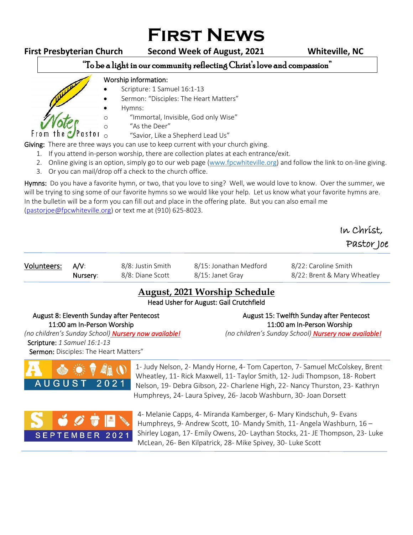# **First News**

the C

From

### **First Presbyterian Church Second Week of August, 2021 Whiteville, NC**

#### "To be a light in our community reflecting Christ's love and compassion" ֺ֝

#### Worship information:

- Scripture: 1 Samuel 16:1-13
- Sermon: "Disciples: The Heart Matters"
- Hymns:
- o "Immortal, Invisible, God only Wise"
- <sup>"</sup>As the Deer"<br> **as for**  $\overline{a}$  of the a

"Savior, Like a Shepherd Lead Us"

Giving: There are three ways you can use to keep current with your church giving.

- 1. If you attend in-person worship, there are collection plates at each entrance/exit.
- 2. Online giving is an option, simply go to our web page [\(www.fpcwhiteville.org](http://www.fpcwhiteville.ort/)) and follow the link to on-line giving.
- 3. Or you can mail/drop off a check to the church office.

Hymns: Do you have a favorite hymn, or two, that you love to sing? Well, we would love to know. Over the summer, we will be trying to sing some of our favorite hymns so we would like your help. Let us know what your favorite hymns are. In the bulletin will be a form you can fill out and place in the offering plate. But you can also email me [\(pastorjoe@fpcwhiteville.org\)](file:///C:/Users/Valued%20Customer/Desktop/pastorjoe@fpcwhiteville.org) or text me at (910) 625-8023.

# In Christ, Pastor Joe

| Volunteers: A/V: |          | 8/8: Justin Smith | 8/15: Jonathan Medford | 8/22: Caroline Smith        |
|------------------|----------|-------------------|------------------------|-----------------------------|
|                  | Nursery: | 8/8: Diane Scott  | 8/15: Janet Grav       | 8/22: Brent & Mary Wheatley |

## **August, 2021 Worship Schedule**

Head Usher for August: Gail Crutchfield

#### August 8: Eleventh Sunday after Pentecost August 15: Twelfth Sunday after Pentecost 11:00 am In-Person Worship 11:00 am In-Person Worship

*(no children's Sunday School) Nursery now available! (no children's Sunday School) Nursery now available!* Scripture: *1 Samuel 16:1-13*

Sermon: Disciples: The Heart Matters"



1- Judy Nelson, 2- Mandy Horne, 4- Tom Caperton, 7- Samuel McColskey, Brent Wheatley, 11- Rick Maxwell, 11- Taylor Smith, 12- Judi Thompson, 18- Robert Nelson, 19- Debra Gibson, 22- Charlene High, 22- Nancy Thurston, 23- Kathryn Humphreys, 24- Laura Spivey, 26- Jacob Washburn, 30- Joan Dorsett



4- Melanie Capps, 4- Miranda Kamberger, 6- Mary Kindschuh, 9- Evans Humphreys, 9- Andrew Scott, 10- Mandy Smith, 11- Angela Washburn, 16 – Shirley Logan, 17- Emily Owens, 20- Laythan Stocks, 21- JE Thompson, 23- Luke McLean, 26- Ben Kilpatrick, 28- Mike Spivey, 30- Luke Scott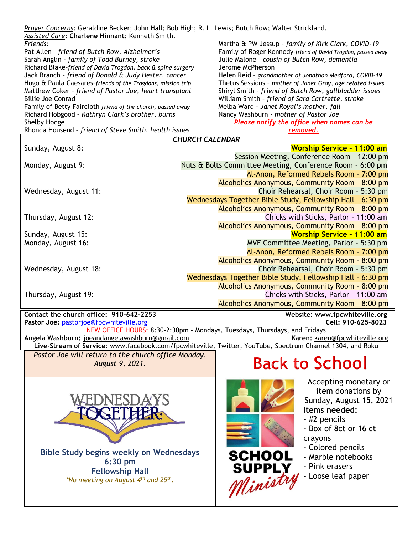| Prayer Concerns: Geraldine Becker; John Hall; Bob High; R. L. Lewis; Butch Row; Walter Strickland.<br>Assisted Care: Charlene Hinnant; Kenneth Smith. |                                                              |  |  |  |  |
|-------------------------------------------------------------------------------------------------------------------------------------------------------|--------------------------------------------------------------|--|--|--|--|
| Friends:                                                                                                                                              | Martha & PW Jessup - family of Kirk Clark, COVID-19          |  |  |  |  |
| Pat Allen - friend of Butch Row, Alzheimer's                                                                                                          | Family of Roger Kennedy-friend of David Trogdon, passed away |  |  |  |  |
| Sarah Anglin - family of Todd Burney, stroke                                                                                                          | Julie Malone - cousin of Butch Row, dementia                 |  |  |  |  |
| Richard Blake-friend of David Trogdon, back & spine surgery                                                                                           | Jerome McPherson                                             |  |  |  |  |
| Jack Branch - friend of Donald & Judy Hester, cancer                                                                                                  | Helen Reid - grandmother of Jonathan Medford, COVID-19       |  |  |  |  |
| Hugo & Paula Caesares-friends of the Trogdons, mission trip                                                                                           | Thetus Sessions - mother of Janet Gray, age related issues   |  |  |  |  |
| Matthew Coker - friend of Pastor Joe, heart transplant                                                                                                | Shiryl Smith - friend of Butch Row, gallbladder issues       |  |  |  |  |
| <b>Billie Joe Conrad</b>                                                                                                                              | William Smith - friend of Sara Cartrette, stroke             |  |  |  |  |
| Family of Betty Faircloth-friend of the church, passed away                                                                                           | Melba Ward - Janet Royal's mother, fall                      |  |  |  |  |
| Richard Hobgood - Kathryn Clark's brother, burns                                                                                                      | Nancy Washburn - mother of Pastor Joe                        |  |  |  |  |
| Shelby Hodge                                                                                                                                          | Please notify the office when names can be                   |  |  |  |  |
| Rhonda Housend - friend of Steve Smith, health issues                                                                                                 | removed.                                                     |  |  |  |  |
| <b>CHURCH CALENDAR</b>                                                                                                                                |                                                              |  |  |  |  |
| Sunday, August 8:                                                                                                                                     | <b>Worship Service - 11:00 am</b>                            |  |  |  |  |
|                                                                                                                                                       | Session Meeting, Conference Room - 12:00 pm                  |  |  |  |  |
| Monday, August 9:                                                                                                                                     | Nuts & Bolts Committee Meeting, Conference Room - 6:00 pm    |  |  |  |  |
|                                                                                                                                                       | Al-Anon, Reformed Rebels Room - 7:00 pm                      |  |  |  |  |
|                                                                                                                                                       |                                                              |  |  |  |  |
|                                                                                                                                                       | Alcoholics Anonymous, Community Room - 8:00 pm               |  |  |  |  |
| Wednesday, August 11:                                                                                                                                 | Choir Rehearsal, Choir Room - 5:30 pm                        |  |  |  |  |
|                                                                                                                                                       | Wednesdays Together Bible Study, Fellowship Hall - 6:30 pm   |  |  |  |  |
|                                                                                                                                                       | Alcoholics Anonymous, Community Room - 8:00 pm               |  |  |  |  |
| Thursday, August 12:                                                                                                                                  | Chicks with Sticks, Parlor - 11:00 am                        |  |  |  |  |
|                                                                                                                                                       | Alcoholics Anonymous, Community Room - 8:00 pm               |  |  |  |  |
| Sunday, August 15:                                                                                                                                    | <b>Worship Service - 11:00 am</b>                            |  |  |  |  |
| Monday, August 16:                                                                                                                                    | MVE Committee Meeting, Parlor - 5:30 pm                      |  |  |  |  |
|                                                                                                                                                       | Al-Anon, Reformed Rebels Room - 7:00 pm                      |  |  |  |  |
|                                                                                                                                                       | Alcoholics Anonymous, Community Room - 8:00 pm               |  |  |  |  |
| Wednesday, August 18:                                                                                                                                 | Choir Rehearsal, Choir Room - 5:30 pm                        |  |  |  |  |
|                                                                                                                                                       | Wednesdays Together Bible Study, Fellowship Hall - 6:30 pm   |  |  |  |  |
|                                                                                                                                                       | Alcoholics Anonymous, Community Room - 8:00 pm               |  |  |  |  |
|                                                                                                                                                       |                                                              |  |  |  |  |
| Thursday, August 19:                                                                                                                                  | Chicks with Sticks, Parlor - 11:00 am                        |  |  |  |  |
|                                                                                                                                                       | Alcoholics Anonymous, Community Room - 8:00 pm               |  |  |  |  |
| Contact the church office: 910-642-2253                                                                                                               | Website: www.fpcwhiteville.org                               |  |  |  |  |
| Pastor Joe: pastorjoe@fpcwhiteville.org                                                                                                               | Cell: 910-625-8023                                           |  |  |  |  |
| NEW OFFICE HOURS: 8:30-2:30pm - Mondays, Tuesdays, Thursdays, and Fridays                                                                             |                                                              |  |  |  |  |
| Angela Washburn: joeandangelawashburn@gmail.com                                                                                                       | Karen: karen@fpcwhiteville.org                               |  |  |  |  |
| Live-Stream of Service: www.facebook.com/fpcwhiteville, Twitter, YouTube, Spectrum Channel 1304, and Roku                                             |                                                              |  |  |  |  |
| Pastor Joe will return to the church office Monday,                                                                                                   |                                                              |  |  |  |  |
| August 9, 2021.                                                                                                                                       | <b>Back to School</b>                                        |  |  |  |  |
|                                                                                                                                                       |                                                              |  |  |  |  |
|                                                                                                                                                       | Accepting monetary or                                        |  |  |  |  |
|                                                                                                                                                       |                                                              |  |  |  |  |
|                                                                                                                                                       | item donations by                                            |  |  |  |  |
|                                                                                                                                                       | Sunday, August 15, 2021                                      |  |  |  |  |
|                                                                                                                                                       | Items needed:                                                |  |  |  |  |
|                                                                                                                                                       | - #2 pencils                                                 |  |  |  |  |
|                                                                                                                                                       | - Box of 8ct or 16 ct                                        |  |  |  |  |
|                                                                                                                                                       | crayons                                                      |  |  |  |  |
|                                                                                                                                                       |                                                              |  |  |  |  |
| <b>Bible Study begins weekly on Wednesdays</b>                                                                                                        | - Colored pencils                                            |  |  |  |  |
| 6:30 pm                                                                                                                                               | SCHOOL<br>- Marble notebooks                                 |  |  |  |  |
|                                                                                                                                                       | - Pink erasers                                               |  |  |  |  |
| <b>Fellowship Hall</b>                                                                                                                                | - Loose leaf paper                                           |  |  |  |  |
| *No meeting on August 4 <sup>th</sup> and 25 <sup>th</sup> .                                                                                          | SUPPLY<br><i>Ministry</i>                                    |  |  |  |  |
|                                                                                                                                                       |                                                              |  |  |  |  |
|                                                                                                                                                       |                                                              |  |  |  |  |